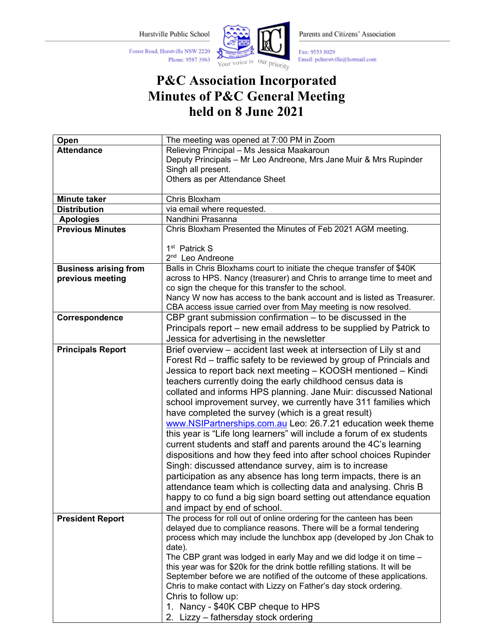Hurstville Public School

Phone: 9587 3963

Forest Road, Hurstville NSW 2220



Parents and Citizens' Association

Fax: 9553 8029 Email: pchurstville@hotmail.com

## P&C Association Incorporated Minutes of P&C General Meeting held on 8 June 2021

| Open                         | The meeting was opened at 7:00 PM in Zoom                                                                                            |
|------------------------------|--------------------------------------------------------------------------------------------------------------------------------------|
| <b>Attendance</b>            | Relieving Principal - Ms Jessica Maakaroun                                                                                           |
|                              | Deputy Principals - Mr Leo Andreone, Mrs Jane Muir & Mrs Rupinder                                                                    |
|                              | Singh all present.                                                                                                                   |
|                              | Others as per Attendance Sheet                                                                                                       |
|                              |                                                                                                                                      |
| <b>Minute taker</b>          | Chris Bloxham                                                                                                                        |
| <b>Distribution</b>          | via email where requested.                                                                                                           |
| <b>Apologies</b>             | Nandhini Prasanna                                                                                                                    |
| <b>Previous Minutes</b>      | Chris Bloxham Presented the Minutes of Feb 2021 AGM meeting.                                                                         |
|                              | 1 <sup>st</sup> Patrick S                                                                                                            |
|                              | 2 <sup>nd</sup> Leo Andreone                                                                                                         |
| <b>Business arising from</b> | Balls in Chris Bloxhams court to initiate the cheque transfer of \$40K                                                               |
| previous meeting             | across to HPS. Nancy (treasurer) and Chris to arrange time to meet and                                                               |
|                              | co sign the cheque for this transfer to the school.                                                                                  |
|                              | Nancy W now has access to the bank account and is listed as Treasurer.                                                               |
|                              | CBA access issue carried over from May meeting is now resolved.                                                                      |
| Correspondence               | CBP grant submission confirmation $-$ to be discussed in the                                                                         |
|                              | Principals report – new email address to be supplied by Patrick to                                                                   |
|                              | Jessica for advertising in the newsletter                                                                                            |
| <b>Principals Report</b>     | Brief overview - accident last week at intersection of Lily st and                                                                   |
|                              | Forest Rd – traffic safety to be reviewed by group of Princials and                                                                  |
|                              | Jessica to report back next meeting - KOOSH mentioned - Kindi                                                                        |
|                              | teachers currently doing the early childhood census data is                                                                          |
|                              | collated and informs HPS planning. Jane Muir: discussed National                                                                     |
|                              | school improvement survey, we currently have 311 families which                                                                      |
|                              | have completed the survey (which is a great result)                                                                                  |
|                              | www.NSIPartnerships.com.au Leo: 26.7.21 education week theme                                                                         |
|                              | this year is "Life long learners" will include a forum of ex students                                                                |
|                              |                                                                                                                                      |
|                              | current students and staff and parents around the 4C's learning<br>dispositions and how they feed into after school choices Rupinder |
|                              |                                                                                                                                      |
|                              | Singh: discussed attendance survey, aim is to increase                                                                               |
|                              | participation as any absence has long term impacts, there is an                                                                      |
|                              | attendance team which is collecting data and analysing. Chris B                                                                      |
|                              | happy to co fund a big sign board setting out attendance equation                                                                    |
|                              | and impact by end of school.                                                                                                         |
| <b>President Report</b>      | The process for roll out of online ordering for the canteen has been                                                                 |
|                              | delayed due to compliance reasons. There will be a formal tendering                                                                  |
|                              | process which may include the lunchbox app (developed by Jon Chak to                                                                 |
|                              | date).<br>The CBP grant was lodged in early May and we did lodge it on time -                                                        |
|                              | this year was for \$20k for the drink bottle refilling stations. It will be                                                          |
|                              | September before we are notified of the outcome of these applications.                                                               |
|                              | Chris to make contact with Lizzy on Father's day stock ordering.                                                                     |
|                              | Chris to follow up:                                                                                                                  |
|                              | 1. Nancy - \$40K CBP cheque to HPS                                                                                                   |
|                              | 2. Lizzy - fathersday stock ordering                                                                                                 |
|                              |                                                                                                                                      |